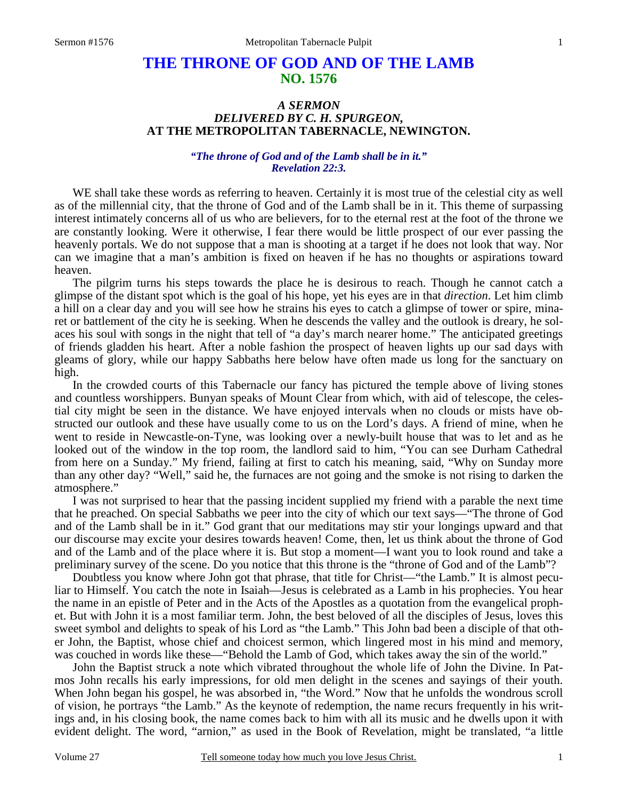# **THE THRONE OF GOD AND OF THE LAMB NO. 1576**

# *A SERMON DELIVERED BY C. H. SPURGEON,*  **AT THE METROPOLITAN TABERNACLE, NEWINGTON.**

# *"The throne of God and of the Lamb shall be in it." Revelation 22:3.*

WE shall take these words as referring to heaven. Certainly it is most true of the celestial city as well as of the millennial city, that the throne of God and of the Lamb shall be in it. This theme of surpassing interest intimately concerns all of us who are believers, for to the eternal rest at the foot of the throne we are constantly looking. Were it otherwise, I fear there would be little prospect of our ever passing the heavenly portals. We do not suppose that a man is shooting at a target if he does not look that way. Nor can we imagine that a man's ambition is fixed on heaven if he has no thoughts or aspirations toward heaven.

 The pilgrim turns his steps towards the place he is desirous to reach. Though he cannot catch a glimpse of the distant spot which is the goal of his hope, yet his eyes are in that *direction*. Let him climb a hill on a clear day and you will see how he strains his eyes to catch a glimpse of tower or spire, minaret or battlement of the city he is seeking. When he descends the valley and the outlook is dreary, he solaces his soul with songs in the night that tell of "a day's march nearer home." The anticipated greetings of friends gladden his heart. After a noble fashion the prospect of heaven lights up our sad days with gleams of glory, while our happy Sabbaths here below have often made us long for the sanctuary on high.

 In the crowded courts of this Tabernacle our fancy has pictured the temple above of living stones and countless worshippers. Bunyan speaks of Mount Clear from which, with aid of telescope, the celestial city might be seen in the distance. We have enjoyed intervals when no clouds or mists have obstructed our outlook and these have usually come to us on the Lord's days. A friend of mine, when he went to reside in Newcastle-on-Tyne, was looking over a newly-built house that was to let and as he looked out of the window in the top room, the landlord said to him, "You can see Durham Cathedral from here on a Sunday." My friend, failing at first to catch his meaning, said, "Why on Sunday more than any other day? "Well," said he, the furnaces are not going and the smoke is not rising to darken the atmosphere."

 I was not surprised to hear that the passing incident supplied my friend with a parable the next time that he preached. On special Sabbaths we peer into the city of which our text says—"The throne of God and of the Lamb shall be in it." God grant that our meditations may stir your longings upward and that our discourse may excite your desires towards heaven! Come, then, let us think about the throne of God and of the Lamb and of the place where it is. But stop a moment—I want you to look round and take a preliminary survey of the scene. Do you notice that this throne is the "throne of God and of the Lamb"?

 Doubtless you know where John got that phrase, that title for Christ—"the Lamb." It is almost peculiar to Himself. You catch the note in Isaiah—Jesus is celebrated as a Lamb in his prophecies. You hear the name in an epistle of Peter and in the Acts of the Apostles as a quotation from the evangelical prophet. But with John it is a most familiar term. John, the best beloved of all the disciples of Jesus, loves this sweet symbol and delights to speak of his Lord as "the Lamb." This John bad been a disciple of that other John, the Baptist, whose chief and choicest sermon, which lingered most in his mind and memory, was couched in words like these—"Behold the Lamb of God, which takes away the sin of the world."

 John the Baptist struck a note which vibrated throughout the whole life of John the Divine. In Patmos John recalls his early impressions, for old men delight in the scenes and sayings of their youth. When John began his gospel, he was absorbed in, "the Word." Now that he unfolds the wondrous scroll of vision, he portrays "the Lamb." As the keynote of redemption, the name recurs frequently in his writings and, in his closing book, the name comes back to him with all its music and he dwells upon it with evident delight. The word, "arnion," as used in the Book of Revelation, might be translated, "a little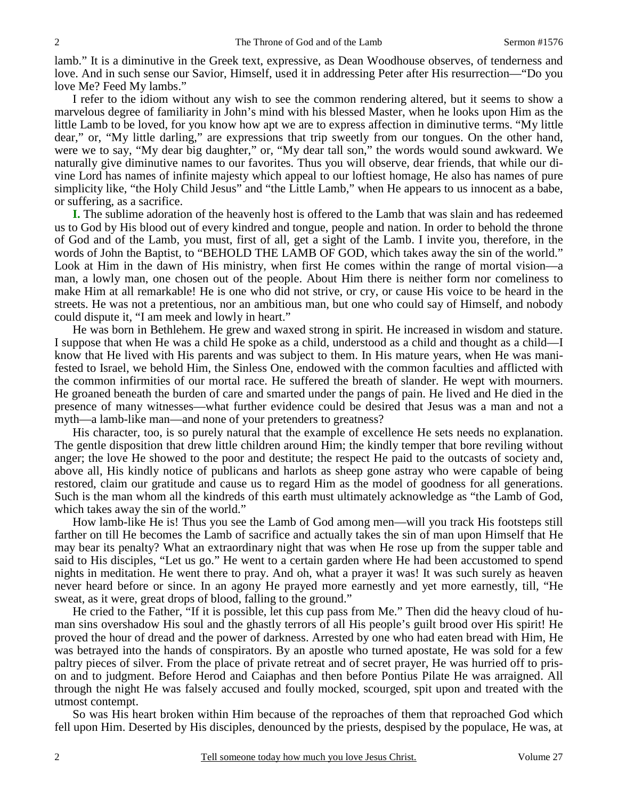lamb." It is a diminutive in the Greek text, expressive, as Dean Woodhouse observes, of tenderness and love. And in such sense our Savior, Himself, used it in addressing Peter after His resurrection—"Do you love Me? Feed My lambs."

 I refer to the idiom without any wish to see the common rendering altered, but it seems to show a marvelous degree of familiarity in John's mind with his blessed Master, when he looks upon Him as the little Lamb to be loved, for you know how apt we are to express affection in diminutive terms. "My little dear," or, "My little darling," are expressions that trip sweetly from our tongues. On the other hand, were we to say, "My dear big daughter," or, "My dear tall son," the words would sound awkward. We naturally give diminutive names to our favorites. Thus you will observe, dear friends, that while our divine Lord has names of infinite majesty which appeal to our loftiest homage, He also has names of pure simplicity like, "the Holy Child Jesus" and "the Little Lamb," when He appears to us innocent as a babe, or suffering, as a sacrifice.

**I.** The sublime adoration of the heavenly host is offered to the Lamb that was slain and has redeemed us to God by His blood out of every kindred and tongue, people and nation. In order to behold the throne of God and of the Lamb, you must, first of all, get a sight of the Lamb. I invite you, therefore, in the words of John the Baptist, to "BEHOLD THE LAMB OF GOD, which takes away the sin of the world." Look at Him in the dawn of His ministry, when first He comes within the range of mortal vision—a man, a lowly man, one chosen out of the people. About Him there is neither form nor comeliness to make Him at all remarkable! He is one who did not strive, or cry, or cause His voice to be heard in the streets. He was not a pretentious, nor an ambitious man, but one who could say of Himself, and nobody could dispute it, "I am meek and lowly in heart."

 He was born in Bethlehem. He grew and waxed strong in spirit. He increased in wisdom and stature. I suppose that when He was a child He spoke as a child, understood as a child and thought as a child—I know that He lived with His parents and was subject to them. In His mature years, when He was manifested to Israel, we behold Him, the Sinless One, endowed with the common faculties and afflicted with the common infirmities of our mortal race. He suffered the breath of slander. He wept with mourners. He groaned beneath the burden of care and smarted under the pangs of pain. He lived and He died in the presence of many witnesses—what further evidence could be desired that Jesus was a man and not a myth—a lamb-like man—and none of your pretenders to greatness?

 His character, too, is so purely natural that the example of excellence He sets needs no explanation. The gentle disposition that drew little children around Him; the kindly temper that bore reviling without anger; the love He showed to the poor and destitute; the respect He paid to the outcasts of society and, above all, His kindly notice of publicans and harlots as sheep gone astray who were capable of being restored, claim our gratitude and cause us to regard Him as the model of goodness for all generations. Such is the man whom all the kindreds of this earth must ultimately acknowledge as "the Lamb of God, which takes away the sin of the world."

 How lamb-like He is! Thus you see the Lamb of God among men—will you track His footsteps still farther on till He becomes the Lamb of sacrifice and actually takes the sin of man upon Himself that He may bear its penalty? What an extraordinary night that was when He rose up from the supper table and said to His disciples, "Let us go." He went to a certain garden where He had been accustomed to spend nights in meditation. He went there to pray. And oh, what a prayer it was! It was such surely as heaven never heard before or since. In an agony He prayed more earnestly and yet more earnestly, till, "He sweat, as it were, great drops of blood, falling to the ground."

 He cried to the Father, "If it is possible, let this cup pass from Me." Then did the heavy cloud of human sins overshadow His soul and the ghastly terrors of all His people's guilt brood over His spirit! He proved the hour of dread and the power of darkness. Arrested by one who had eaten bread with Him, He was betrayed into the hands of conspirators. By an apostle who turned apostate, He was sold for a few paltry pieces of silver. From the place of private retreat and of secret prayer, He was hurried off to prison and to judgment. Before Herod and Caiaphas and then before Pontius Pilate He was arraigned. All through the night He was falsely accused and foully mocked, scourged, spit upon and treated with the utmost contempt.

 So was His heart broken within Him because of the reproaches of them that reproached God which fell upon Him. Deserted by His disciples, denounced by the priests, despised by the populace, He was, at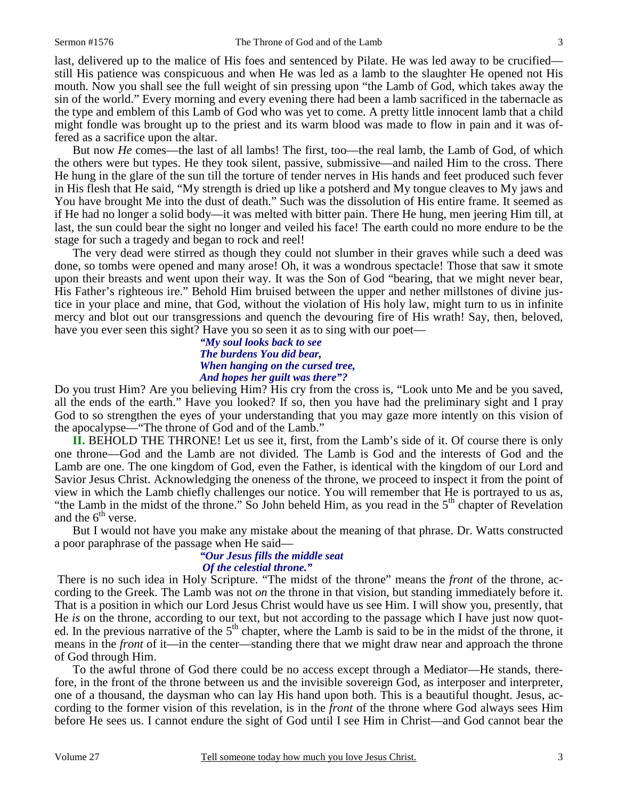last, delivered up to the malice of His foes and sentenced by Pilate. He was led away to be crucified still His patience was conspicuous and when He was led as a lamb to the slaughter He opened not His mouth. Now you shall see the full weight of sin pressing upon "the Lamb of God, which takes away the sin of the world." Every morning and every evening there had been a lamb sacrificed in the tabernacle as the type and emblem of this Lamb of God who was yet to come. A pretty little innocent lamb that a child might fondle was brought up to the priest and its warm blood was made to flow in pain and it was offered as a sacrifice upon the altar.

 But now *He* comes—the last of all lambs! The first, too—the real lamb, the Lamb of God, of which the others were but types. He they took silent, passive, submissive—and nailed Him to the cross. There He hung in the glare of the sun till the torture of tender nerves in His hands and feet produced such fever in His flesh that He said, "My strength is dried up like a potsherd and My tongue cleaves to My jaws and You have brought Me into the dust of death." Such was the dissolution of His entire frame. It seemed as if He had no longer a solid body—it was melted with bitter pain. There He hung, men jeering Him till, at last, the sun could bear the sight no longer and veiled his face! The earth could no more endure to be the stage for such a tragedy and began to rock and reel!

 The very dead were stirred as though they could not slumber in their graves while such a deed was done, so tombs were opened and many arose! Oh, it was a wondrous spectacle! Those that saw it smote upon their breasts and went upon their way. It was the Son of God "bearing, that we might never bear, His Father's righteous ire." Behold Him bruised between the upper and nether millstones of divine justice in your place and mine, that God, without the violation of His holy law, might turn to us in infinite mercy and blot out our transgressions and quench the devouring fire of His wrath! Say, then, beloved, have you ever seen this sight? Have you so seen it as to sing with our poet—

## *"My soul looks back to see The burdens You did bear, When hanging on the cursed tree, And hopes her guilt was there"?*

Do you trust Him? Are you believing Him? His cry from the cross is, "Look unto Me and be you saved, all the ends of the earth." Have you looked? If so, then you have had the preliminary sight and I pray God to so strengthen the eyes of your understanding that you may gaze more intently on this vision of the apocalypse—"The throne of God and of the Lamb."

**II.** BEHOLD THE THRONE! Let us see it, first, from the Lamb's side of it. Of course there is only one throne—God and the Lamb are not divided. The Lamb is God and the interests of God and the Lamb are one. The one kingdom of God, even the Father, is identical with the kingdom of our Lord and Savior Jesus Christ. Acknowledging the oneness of the throne, we proceed to inspect it from the point of view in which the Lamb chiefly challenges our notice. You will remember that He is portrayed to us as, "the Lamb in the midst of the throne." So John beheld Him, as you read in the  $5<sup>th</sup>$  chapter of Revelation and the  $6<sup>th</sup>$  verse.

 But I would not have you make any mistake about the meaning of that phrase. Dr. Watts constructed a poor paraphrase of the passage when He said—

#### *"Our Jesus fills the middle seat Of the celestial throne."*

There is no such idea in Holy Scripture. "The midst of the throne" means the *front* of the throne, according to the Greek. The Lamb was not *on* the throne in that vision, but standing immediately before it. That is a position in which our Lord Jesus Christ would have us see Him. I will show you, presently, that He *is* on the throne, according to our text, but not according to the passage which I have just now quoted. In the previous narrative of the  $5<sup>th</sup>$  chapter, where the Lamb is said to be in the midst of the throne, it means in the *front* of it—in the center—standing there that we might draw near and approach the throne of God through Him.

 To the awful throne of God there could be no access except through a Mediator—He stands, therefore, in the front of the throne between us and the invisible sovereign God, as interposer and interpreter, one of a thousand, the daysman who can lay His hand upon both. This is a beautiful thought. Jesus, according to the former vision of this revelation, is in the *front* of the throne where God always sees Him before He sees us. I cannot endure the sight of God until I see Him in Christ—and God cannot bear the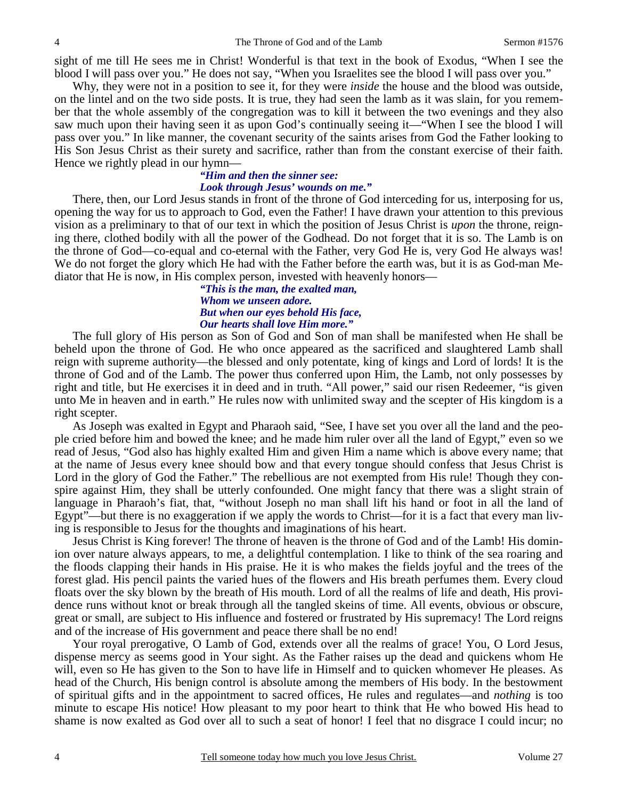sight of me till He sees me in Christ! Wonderful is that text in the book of Exodus, "When I see the blood I will pass over you." He does not say, "When you Israelites see the blood I will pass over you."

 Why, they were not in a position to see it, for they were *inside* the house and the blood was outside, on the lintel and on the two side posts. It is true, they had seen the lamb as it was slain, for you remember that the whole assembly of the congregation was to kill it between the two evenings and they also saw much upon their having seen it as upon God's continually seeing it—"When I see the blood I will pass over you." In like manner, the covenant security of the saints arises from God the Father looking to His Son Jesus Christ as their surety and sacrifice, rather than from the constant exercise of their faith. Hence we rightly plead in our hymn—

#### *"Him and then the sinner see: Look through Jesus' wounds on me."*

There, then, our Lord Jesus stands in front of the throne of God interceding for us, interposing for us, opening the way for us to approach to God, even the Father! I have drawn your attention to this previous vision as a preliminary to that of our text in which the position of Jesus Christ is *upon* the throne, reigning there, clothed bodily with all the power of the Godhead. Do not forget that it is so. The Lamb is on the throne of God—co-equal and co-eternal with the Father, very God He is, very God He always was! We do not forget the glory which He had with the Father before the earth was, but it is as God-man Mediator that He is now, in His complex person, invested with heavenly honors—

## *"This is the man, the exalted man, Whom we unseen adore. But when our eyes behold His face, Our hearts shall love Him more."*

The full glory of His person as Son of God and Son of man shall be manifested when He shall be beheld upon the throne of God. He who once appeared as the sacrificed and slaughtered Lamb shall reign with supreme authority—the blessed and only potentate, king of kings and Lord of lords! It is the throne of God and of the Lamb. The power thus conferred upon Him, the Lamb, not only possesses by right and title, but He exercises it in deed and in truth. "All power," said our risen Redeemer, "is given unto Me in heaven and in earth." He rules now with unlimited sway and the scepter of His kingdom is a right scepter.

 As Joseph was exalted in Egypt and Pharaoh said, "See, I have set you over all the land and the people cried before him and bowed the knee; and he made him ruler over all the land of Egypt," even so we read of Jesus, "God also has highly exalted Him and given Him a name which is above every name; that at the name of Jesus every knee should bow and that every tongue should confess that Jesus Christ is Lord in the glory of God the Father." The rebellious are not exempted from His rule! Though they conspire against Him, they shall be utterly confounded. One might fancy that there was a slight strain of language in Pharaoh's fiat, that, "without Joseph no man shall lift his hand or foot in all the land of Egypt"—but there is no exaggeration if we apply the words to Christ—for it is a fact that every man living is responsible to Jesus for the thoughts and imaginations of his heart.

 Jesus Christ is King forever! The throne of heaven is the throne of God and of the Lamb! His dominion over nature always appears, to me, a delightful contemplation. I like to think of the sea roaring and the floods clapping their hands in His praise. He it is who makes the fields joyful and the trees of the forest glad. His pencil paints the varied hues of the flowers and His breath perfumes them. Every cloud floats over the sky blown by the breath of His mouth. Lord of all the realms of life and death, His providence runs without knot or break through all the tangled skeins of time. All events, obvious or obscure, great or small, are subject to His influence and fostered or frustrated by His supremacy! The Lord reigns and of the increase of His government and peace there shall be no end!

 Your royal prerogative, O Lamb of God, extends over all the realms of grace! You, O Lord Jesus, dispense mercy as seems good in Your sight. As the Father raises up the dead and quickens whom He will, even so He has given to the Son to have life in Himself and to quicken whomever He pleases. As head of the Church, His benign control is absolute among the members of His body. In the bestowment of spiritual gifts and in the appointment to sacred offices, He rules and regulates—and *nothing* is too minute to escape His notice! How pleasant to my poor heart to think that He who bowed His head to shame is now exalted as God over all to such a seat of honor! I feel that no disgrace I could incur; no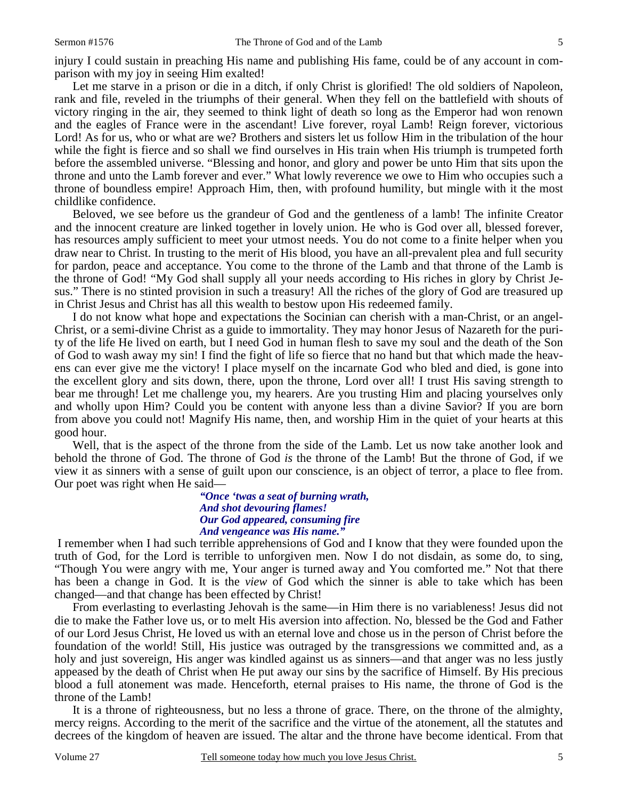injury I could sustain in preaching His name and publishing His fame, could be of any account in comparison with my joy in seeing Him exalted!

Let me starve in a prison or die in a ditch, if only Christ is glorified! The old soldiers of Napoleon, rank and file, reveled in the triumphs of their general. When they fell on the battlefield with shouts of victory ringing in the air, they seemed to think light of death so long as the Emperor had won renown and the eagles of France were in the ascendant! Live forever, royal Lamb! Reign forever, victorious Lord! As for us, who or what are we? Brothers and sisters let us follow Him in the tribulation of the hour while the fight is fierce and so shall we find ourselves in His train when His triumph is trumpeted forth before the assembled universe. "Blessing and honor, and glory and power be unto Him that sits upon the throne and unto the Lamb forever and ever." What lowly reverence we owe to Him who occupies such a throne of boundless empire! Approach Him, then, with profound humility, but mingle with it the most childlike confidence.

 Beloved, we see before us the grandeur of God and the gentleness of a lamb! The infinite Creator and the innocent creature are linked together in lovely union. He who is God over all, blessed forever, has resources amply sufficient to meet your utmost needs. You do not come to a finite helper when you draw near to Christ. In trusting to the merit of His blood, you have an all-prevalent plea and full security for pardon, peace and acceptance. You come to the throne of the Lamb and that throne of the Lamb is the throne of God! "My God shall supply all your needs according to His riches in glory by Christ Jesus." There is no stinted provision in such a treasury! All the riches of the glory of God are treasured up in Christ Jesus and Christ has all this wealth to bestow upon His redeemed family.

 I do not know what hope and expectations the Socinian can cherish with a man-Christ, or an angel-Christ, or a semi-divine Christ as a guide to immortality. They may honor Jesus of Nazareth for the purity of the life He lived on earth, but I need God in human flesh to save my soul and the death of the Son of God to wash away my sin! I find the fight of life so fierce that no hand but that which made the heavens can ever give me the victory! I place myself on the incarnate God who bled and died, is gone into the excellent glory and sits down, there, upon the throne, Lord over all! I trust His saving strength to bear me through! Let me challenge you, my hearers. Are you trusting Him and placing yourselves only and wholly upon Him? Could you be content with anyone less than a divine Savior? If you are born from above you could not! Magnify His name, then, and worship Him in the quiet of your hearts at this good hour.

 Well, that is the aspect of the throne from the side of the Lamb. Let us now take another look and behold the throne of God. The throne of God *is* the throne of the Lamb! But the throne of God, if we view it as sinners with a sense of guilt upon our conscience, is an object of terror, a place to flee from. Our poet was right when He said—

> *"Once 'twas a seat of burning wrath, And shot devouring flames! Our God appeared, consuming fire And vengeance was His name."*

I remember when I had such terrible apprehensions of God and I know that they were founded upon the truth of God, for the Lord is terrible to unforgiven men. Now I do not disdain, as some do, to sing, "Though You were angry with me, Your anger is turned away and You comforted me." Not that there has been a change in God. It is the *view* of God which the sinner is able to take which has been changed—and that change has been effected by Christ!

 From everlasting to everlasting Jehovah is the same—in Him there is no variableness! Jesus did not die to make the Father love us, or to melt His aversion into affection. No, blessed be the God and Father of our Lord Jesus Christ, He loved us with an eternal love and chose us in the person of Christ before the foundation of the world! Still, His justice was outraged by the transgressions we committed and, as a holy and just sovereign, His anger was kindled against us as sinners—and that anger was no less justly appeased by the death of Christ when He put away our sins by the sacrifice of Himself. By His precious blood a full atonement was made. Henceforth, eternal praises to His name, the throne of God is the throne of the Lamb!

 It is a throne of righteousness, but no less a throne of grace. There, on the throne of the almighty, mercy reigns. According to the merit of the sacrifice and the virtue of the atonement, all the statutes and decrees of the kingdom of heaven are issued. The altar and the throne have become identical. From that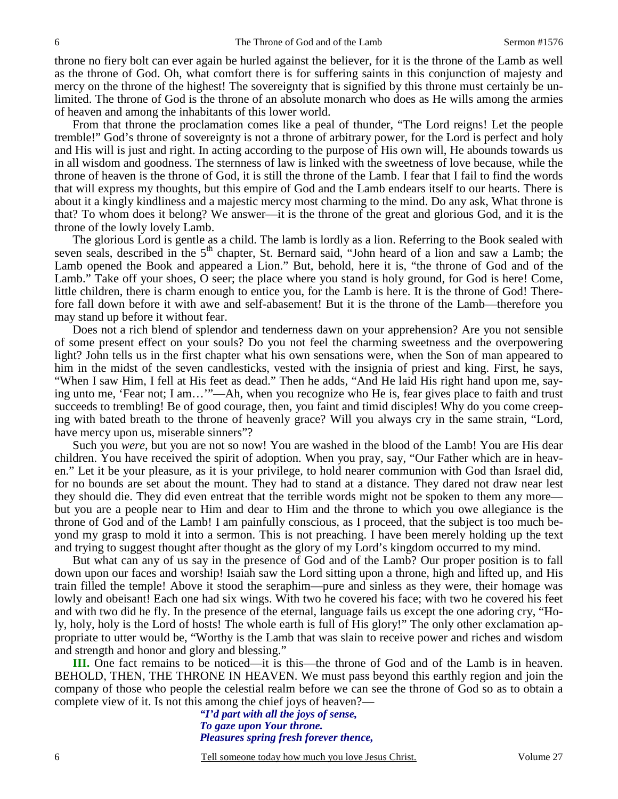throne no fiery bolt can ever again be hurled against the believer, for it is the throne of the Lamb as well as the throne of God. Oh, what comfort there is for suffering saints in this conjunction of majesty and mercy on the throne of the highest! The sovereignty that is signified by this throne must certainly be unlimited. The throne of God is the throne of an absolute monarch who does as He wills among the armies of heaven and among the inhabitants of this lower world.

 From that throne the proclamation comes like a peal of thunder, "The Lord reigns! Let the people tremble!" God's throne of sovereignty is not a throne of arbitrary power, for the Lord is perfect and holy and His will is just and right. In acting according to the purpose of His own will, He abounds towards us in all wisdom and goodness. The sternness of law is linked with the sweetness of love because, while the throne of heaven is the throne of God, it is still the throne of the Lamb. I fear that I fail to find the words that will express my thoughts, but this empire of God and the Lamb endears itself to our hearts. There is about it a kingly kindliness and a majestic mercy most charming to the mind. Do any ask, What throne is that? To whom does it belong? We answer—it is the throne of the great and glorious God, and it is the throne of the lowly lovely Lamb.

 The glorious Lord is gentle as a child. The lamb is lordly as a lion. Referring to the Book sealed with seven seals, described in the 5<sup>th</sup> chapter, St. Bernard said, "John heard of a lion and saw a Lamb; the Lamb opened the Book and appeared a Lion." But, behold, here it is, "the throne of God and of the Lamb." Take off your shoes, O seer; the place where you stand is holy ground, for God is here! Come, little children, there is charm enough to entice you, for the Lamb is here. It is the throne of God! Therefore fall down before it with awe and self-abasement! But it is the throne of the Lamb—therefore you may stand up before it without fear.

 Does not a rich blend of splendor and tenderness dawn on your apprehension? Are you not sensible of some present effect on your souls? Do you not feel the charming sweetness and the overpowering light? John tells us in the first chapter what his own sensations were, when the Son of man appeared to him in the midst of the seven candlesticks, vested with the insignia of priest and king. First, he says, "When I saw Him, I fell at His feet as dead." Then he adds, "And He laid His right hand upon me, saying unto me, 'Fear not; I am…'"—Ah, when you recognize who He is, fear gives place to faith and trust succeeds to trembling! Be of good courage, then, you faint and timid disciples! Why do you come creeping with bated breath to the throne of heavenly grace? Will you always cry in the same strain, "Lord, have mercy upon us, miserable sinners"?

 Such you *were*, but you are not so now! You are washed in the blood of the Lamb! You are His dear children. You have received the spirit of adoption. When you pray, say, "Our Father which are in heaven." Let it be your pleasure, as it is your privilege, to hold nearer communion with God than Israel did, for no bounds are set about the mount. They had to stand at a distance. They dared not draw near lest they should die. They did even entreat that the terrible words might not be spoken to them any more but you are a people near to Him and dear to Him and the throne to which you owe allegiance is the throne of God and of the Lamb! I am painfully conscious, as I proceed, that the subject is too much beyond my grasp to mold it into a sermon. This is not preaching. I have been merely holding up the text and trying to suggest thought after thought as the glory of my Lord's kingdom occurred to my mind.

 But what can any of us say in the presence of God and of the Lamb? Our proper position is to fall down upon our faces and worship! Isaiah saw the Lord sitting upon a throne, high and lifted up, and His train filled the temple! Above it stood the seraphim—pure and sinless as they were, their homage was lowly and obeisant! Each one had six wings. With two he covered his face; with two he covered his feet and with two did he fly. In the presence of the eternal, language fails us except the one adoring cry, "Holy, holy, holy is the Lord of hosts! The whole earth is full of His glory!" The only other exclamation appropriate to utter would be, "Worthy is the Lamb that was slain to receive power and riches and wisdom and strength and honor and glory and blessing."

**III.** One fact remains to be noticed—it is this—the throne of God and of the Lamb is in heaven. BEHOLD, THEN, THE THRONE IN HEAVEN. We must pass beyond this earthly region and join the company of those who people the celestial realm before we can see the throne of God so as to obtain a complete view of it. Is not this among the chief joys of heaven?—

> *"I'd part with all the joys of sense, To gaze upon Your throne. Pleasures spring fresh forever thence,*

6 Tell someone today how much you love Jesus Christ. Volume 27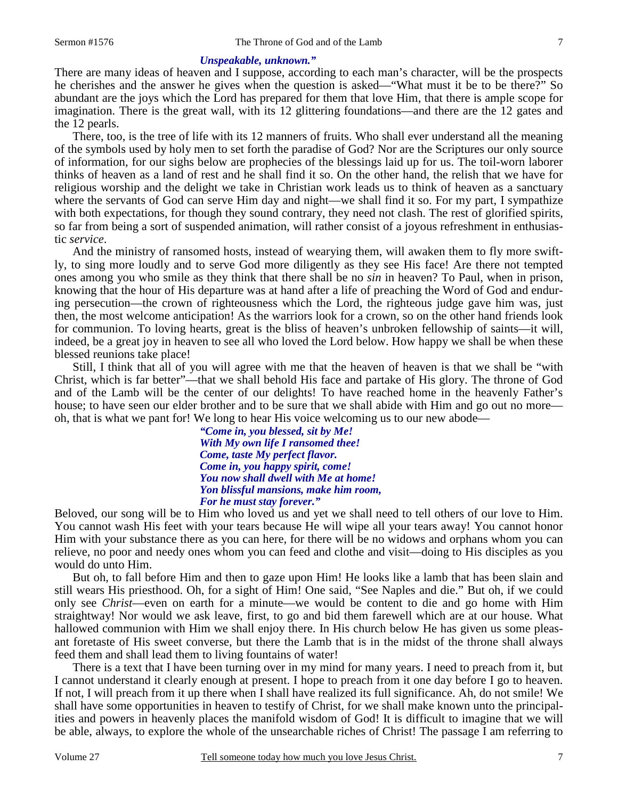### *Unspeakable, unknown."*

There are many ideas of heaven and I suppose, according to each man's character, will be the prospects he cherishes and the answer he gives when the question is asked—"What must it be to be there?" So abundant are the joys which the Lord has prepared for them that love Him, that there is ample scope for imagination. There is the great wall, with its 12 glittering foundations—and there are the 12 gates and the 12 pearls.

 There, too, is the tree of life with its 12 manners of fruits. Who shall ever understand all the meaning of the symbols used by holy men to set forth the paradise of God? Nor are the Scriptures our only source of information, for our sighs below are prophecies of the blessings laid up for us. The toil-worn laborer thinks of heaven as a land of rest and he shall find it so. On the other hand, the relish that we have for religious worship and the delight we take in Christian work leads us to think of heaven as a sanctuary where the servants of God can serve Him day and night—we shall find it so. For my part, I sympathize with both expectations, for though they sound contrary, they need not clash. The rest of glorified spirits, so far from being a sort of suspended animation, will rather consist of a joyous refreshment in enthusiastic *service*.

 And the ministry of ransomed hosts, instead of wearying them, will awaken them to fly more swiftly, to sing more loudly and to serve God more diligently as they see His face! Are there not tempted ones among you who smile as they think that there shall be no *sin* in heaven? To Paul, when in prison, knowing that the hour of His departure was at hand after a life of preaching the Word of God and enduring persecution—the crown of righteousness which the Lord, the righteous judge gave him was, just then, the most welcome anticipation! As the warriors look for a crown, so on the other hand friends look for communion. To loving hearts, great is the bliss of heaven's unbroken fellowship of saints—it will, indeed, be a great joy in heaven to see all who loved the Lord below. How happy we shall be when these blessed reunions take place!

 Still, I think that all of you will agree with me that the heaven of heaven is that we shall be "with Christ, which is far better"—that we shall behold His face and partake of His glory. The throne of God and of the Lamb will be the center of our delights! To have reached home in the heavenly Father's house; to have seen our elder brother and to be sure that we shall abide with Him and go out no more oh, that is what we pant for! We long to hear His voice welcoming us to our new abode—

> *"Come in, you blessed, sit by Me! With My own life I ransomed thee! Come, taste My perfect flavor. Come in, you happy spirit, come! You now shall dwell with Me at home! Yon blissful mansions, make him room, For he must stay forever."*

Beloved, our song will be to Him who loved us and yet we shall need to tell others of our love to Him. You cannot wash His feet with your tears because He will wipe all your tears away! You cannot honor Him with your substance there as you can here, for there will be no widows and orphans whom you can relieve, no poor and needy ones whom you can feed and clothe and visit—doing to His disciples as you would do unto Him.

 But oh, to fall before Him and then to gaze upon Him! He looks like a lamb that has been slain and still wears His priesthood. Oh, for a sight of Him! One said, "See Naples and die." But oh, if we could only see *Christ*—even on earth for a minute—we would be content to die and go home with Him straightway! Nor would we ask leave, first, to go and bid them farewell which are at our house. What hallowed communion with Him we shall enjoy there. In His church below He has given us some pleasant foretaste of His sweet converse, but there the Lamb that is in the midst of the throne shall always feed them and shall lead them to living fountains of water!

 There is a text that I have been turning over in my mind for many years. I need to preach from it, but I cannot understand it clearly enough at present. I hope to preach from it one day before I go to heaven. If not, I will preach from it up there when I shall have realized its full significance. Ah, do not smile! We shall have some opportunities in heaven to testify of Christ, for we shall make known unto the principalities and powers in heavenly places the manifold wisdom of God! It is difficult to imagine that we will be able, always, to explore the whole of the unsearchable riches of Christ! The passage I am referring to